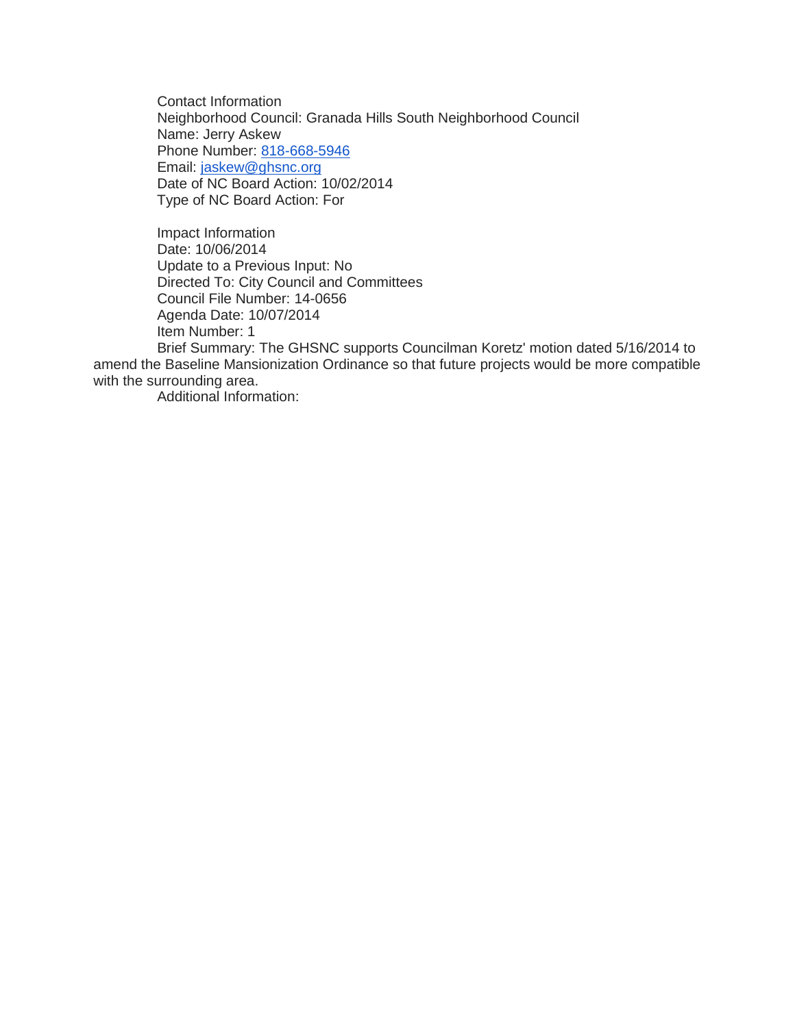Contact Information Neighborhood Council: Granada Hills South Neighborhood Council Name: Jerry Askew Phone Number: [818-668-5946](tel:818-668-5946) Email: [jaskew@ghsnc.org](mailto:jaskew@ghsnc.org) Date of NC Board Action: 10/02/2014 Type of NC Board Action: For

Impact Information Date: 10/06/2014 Update to a Previous Input: No Directed To: City Council and Committees Council File Number: 14-0656 Agenda Date: 10/07/2014 Item Number: 1

Brief Summary: The GHSNC supports Councilman Koretz' motion dated 5/16/2014 to amend the Baseline Mansionization Ordinance so that future projects would be more compatible with the surrounding area.

Additional Information: